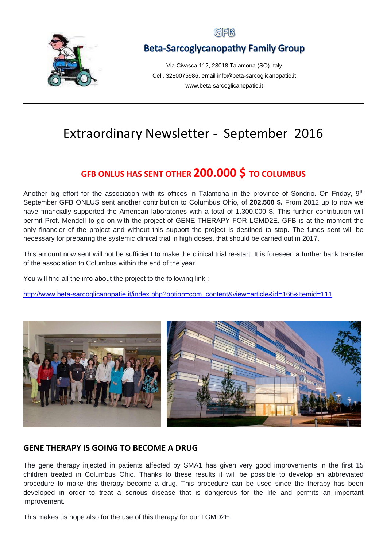

## GFB

## **Beta-Sarcoglycanopathy Family Group**

Via Civasca 112, 23018 Talamona (SO) Italy Cell. 3280075986, email info@beta-sarcoglicanopatie.it www.beta-sarcoglicanopatie.it

# Extraordinary Newsletter - September 2016

# **GFB ONLUS HAS SENT OTHER 200.000 \$ TO COLUMBUS**

Another big effort for the association with its offices in Talamona in the province of Sondrio. On Friday, 9<sup>th</sup> September GFB ONLUS sent another contribution to Columbus Ohio, of **202.500 \$.** From 2012 up to now we have financially supported the American laboratories with a total of 1.300.000 \$. This further contribution will permit Prof. Mendell to go on with the project of GENE THERAPY FOR LGMD2E. GFB is at the moment the only financier of the project and without this support the project is destined to stop. The funds sent will be necessary for preparing the systemic clinical trial in high doses, that should be carried out in 2017.

This amount now sent will not be sufficient to make the clinical trial re-start. It is foreseen a further bank transfer of the association to Columbus within the end of the year.

You will find all the info about the project to the following link :

[http://www.beta-sarcoglicanopatie.it/index.php?option=com\\_content&view=article&id=166&Itemid=111](http://www.beta-sarcoglicanopatie.it/index.php?option=com_content&view=article&id=166&Itemid=111)



### **GENE THERAPY IS GOING TO BECOME A DRUG**

The gene therapy injected in patients affected by SMA1 has given very good improvements in the first 15 children treated in Columbus Ohio. Thanks to these results it will be possible to develop an abbreviated procedure to make this therapy become a drug. This procedure can be used since the therapy has been developed in order to treat a serious disease that is dangerous for the life and permits an important improvement.

This makes us hope also for the use of this therapy for our LGMD2E.